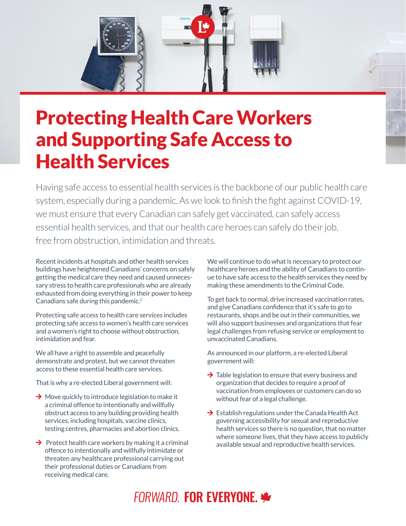

## Protecting Health Care Workers and Supporting Safe Access to Health Services

Having safe access to essential health services is the backbone of our public health care system, especially during a pandemic. As we look to finish the fight against COVID-19, we must ensure that every Canadian can safely get vaccinated, can safely access essential health services, and that our health care heroes can safely do their job, free from obstruction, intimidation and threats.

Recent incidents at hospitals and other health services buildings have heightened Canadians' concerns on safely getting the medical care they need and caused unnecessary stress to health care professionals who are already exhausted from doing everything in their power to keep Canadians safe during this pandemic. $1$ 

Protecting safe access to health care services includes protecting safe access to women's health care services and a women's right to choose without obstruction, intimidation and fear.

We all have a right to assemble and peacefully demonstrate and protest, but we cannot threaten access to these essential health care services.

That is why a re-elected Liberal government will:

- $\rightarrow$  Move quickly to introduce legislation to make it a criminal offence to intentionally and willfully obstruct access to any building providing health services, including hospitals, vaccine clinics, testing centres, pharmacies and abortion clinics.
- $\rightarrow$  Protect health care workers by making it a criminal offence to intentionally and willfully intimidate or threaten any healthcare professional carrying out their professional duties or Canadians from receiving medical care.

We will continue to do what is necessary to protect our healthcare heroes and the ability of Canadians to continue to have safe access to the health services they need by making these amendments to the Criminal Code.

To get back to normal, drive increased vaccination rates, and give Canadians confidence that it's safe to go to restaurants, shops and be out in their communities, we will also support businesses and organizations that fear legal challenges from refusing service or employment to unvaccinated Canadians.

As announced in our platform, a re-elected Liberal government will:

- $\rightarrow$  Table legislation to ensure that every business and organization that decides to require a proof of vaccination from employees or customers can do so without fear of a legal challenge.
- $\rightarrow$  Establish regulations under the Canada Health Act governing accessibility for sexual and reproductive health services so there is no question, that no matter where someone lives, that they have access to publicly available sexual and reproductive health services.

## **FORWARD. FOR EVERYONE.**